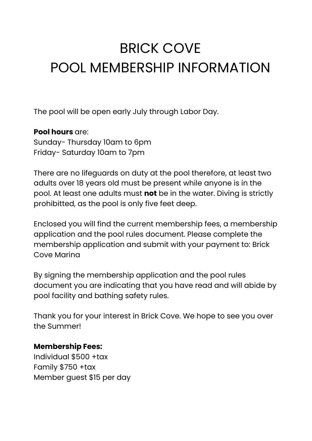# BRICK COVE POOL MEMBERSHIP INFORMATION

The pool will be open early July through Labor Day.

### **Pool hours** are:

Sunday- Thursday 10am to 6pm Friday- Saturday 10am to 7pm

There are no lifeguards on duty at the pool therefore, at least two adults over 18 years old must be present while anyone is in the pool. At least one adults must **not** be in the water. Diving is strictly prohibitted, as the pool is only five feet deep.

Enclosed you will find the current membership fees, a membership application and the pool rules document. Please complete the membership application and submit with your payment to: Brick Cove Marina

By signing the membership application and the pool rules document you are indicating that you have read and will abide by pool facility and bathing safety rules.

Thank you for your interest in Brick Cove. We hope to see you over the Summer!

### **Membership Fees:**

Individual \$500 +tax Family \$750 +tax Member guest \$15 per day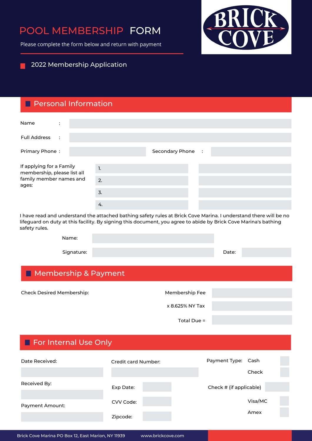## POOL MEMBERSHIP FORM

Please complete the form below and return with payment



#### 2022 Membership Application

#### Personal Information

| Name<br>$\ddot{\cdot}$                                                                      |                |                   |  |  |
|---------------------------------------------------------------------------------------------|----------------|-------------------|--|--|
| <b>Full Address</b><br>$\cdot$ :                                                            |                |                   |  |  |
| Primary Phone:                                                                              |                | Secondary Phone : |  |  |
|                                                                                             |                |                   |  |  |
| If applying for a Family<br>membership, please list all<br>family member names and<br>ages: | $\mathbf{1}$ . |                   |  |  |
|                                                                                             | 2.             |                   |  |  |
|                                                                                             | 3.             |                   |  |  |
|                                                                                             | 4.             |                   |  |  |

I have read and understand the attached bathing safety rules at Brick Cove Marina. I understand there will be no lifeguard on duty at this facility. By signing this document, you agree to abide by Brick Cove Marina's bathing safety rules.

| Name:      |       |
|------------|-------|
| Signature: | Date: |

## **Membership & Payment**

| Check Desired Membership: | Membership Fee  |  |
|---------------------------|-----------------|--|
|                           |                 |  |
|                           | x 8.625% NY Tax |  |
|                           |                 |  |
|                           | Total Due =     |  |
|                           |                 |  |
|                           |                 |  |

| For Internal Use Only |                     |  |  |                         |         |  |
|-----------------------|---------------------|--|--|-------------------------|---------|--|
| Date Received:        | Credit card Number: |  |  | Payment Type:           | Cash    |  |
|                       |                     |  |  |                         | Check   |  |
| Received By:          | Exp Date:           |  |  | Check # (if applicable) |         |  |
| Payment Amount:       | CVV Code:           |  |  |                         | Visa/MC |  |
|                       | Zipcode:            |  |  |                         | Amex    |  |
|                       |                     |  |  |                         |         |  |